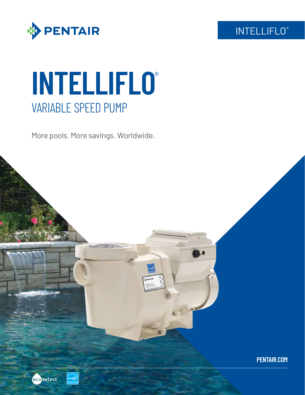

# **INTELLIFLO**® VARIABLE SPEED PUMP

More pools. More savings. Worldwide.



INTELLIFLO®



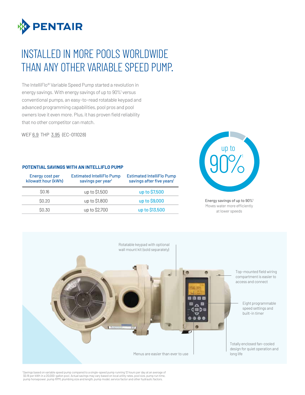

### INSTALLED IN MORE POOLS WORLDWIDE THAN ANY OTHER VARIABLE SPEED PUMP.

The IntelliFlo® Variable Speed Pump started a revolution in energy savings. With energy savings of up to 90%<sup>1</sup> versus conventional pumps, an easy-to-read rotatable keypad and advanced programming capabilities, pool pros and pool owners love it even more. Plus, it has proven field reliability that no other competitor can match.

WEF 6.9 THP 3.95 (EC-011028)

#### **POTENTIAL SAVINGS WITH AN INTELLIFLO PUMP**

| Energy cost per<br>kilowatt hour (kWh) | <b>Estimated IntelliFlo Pump</b><br>savings per year <sup>1</sup> | <b>Estimated IntelliFlo Pump</b><br>savings after five years <sup>1</sup> |  |  |
|----------------------------------------|-------------------------------------------------------------------|---------------------------------------------------------------------------|--|--|
| \$0.16                                 | up to \$1,500                                                     | up to \$7,500                                                             |  |  |
| \$0.20                                 | up to \$1,800                                                     | up to \$9,000                                                             |  |  |
| \$0.30                                 | up to \$2,700                                                     | up to \$13,500                                                            |  |  |



Energy savings of up to 90%1 Moves water more efficiently at lower speeds



Savings based on variable speed pump compared to a single-speed pump running 12 hours per day at an average of \$0.16 per kWh in a 20,000-gallon pool. Actual savings may vary based on local utility rates, pool size, pump run time,<br>pump horsepower, pump RPM, plumbing size and length, pump model, service factor and other hydraulic fac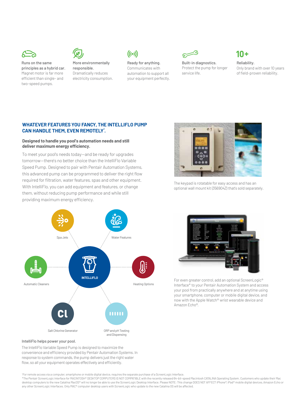

Runs on the same principles as a hybrid car. Magnet motor is far more efficient than single- and two-speed pumps.



More environmentally responsible. Dramatically reduces electricity consumption.



Ready for anything. Communicates with automation to support all your equipment perfectly.



Built-in diagnostics. Protect the pump for longer service life.

### $10 +$

Reliability. Only brand with over 10 years of field-proven reliability.

#### **WHATEVER FEATURES YOU FANCY, THE INTELLIFLO PUMP CAN HANDLE THEM, EVEN REMOTELY\* .**

#### **Designed to handle you pool's automation needs and still deliver maximum energy efficiency.**

To meet your pool's needs today—and be ready for upgrades tomorrow—there's no better choice than the IntelliFlo Variable Speed Pump. Designed to pair with Pentair Automation Systems, this advanced pump can be programmed to deliver the right flow required for filtration, water features, spas and other equipment. With IntelliFlo, you can add equipment and features, or change them, without reducing pump performance and while still providing maximum energy efficiency.





The keypad is rotatable for easy access and has an optional wall mount kit (356904Z) that's sold separately.



For even greater control, add an optional ScreenLogic® Interface\* to your Pentair Automation System and access your pool from practically anywhere and at anytime using your smartphone, computer or mobile digital device, and now with the Apple Watch® wrist wearable device and Amazon Echo®.

#### IntelliFlo helps power your pool.

The IntelliFlo Variable Speed Pump is designed to maximize the convenience and efficiency provided by Pentair Automation Systems. In response to system commands, the pump delivers just the right water flow, so all your equipment operates effectively and efficiently.

+ For remote access via a computer, smartphone or mobile digital device, requires the separate purchase of a ScreenLogic Interface.

\*The Pentair ScreenLogic Interface for MACINTOSH® DESKTOP COMPUTERS IS NOT COMPATIBLE with the recently released 64-bit-speed Macintosh CATALINA Operating System. Customers who update their Mac desktop computers to the new Catalina MacOS® will no longer be able to use the ScreenLogic Desktop Interface. Please NOTE: This change DOES NOT AFFECT iPhone®, iPad® mobile digital devices, Amazon Echo or any other ScreenLogic Interfaces. Only MAC® computer desktop users with ScreenLogic who update to the new Catalina OS will be affected.